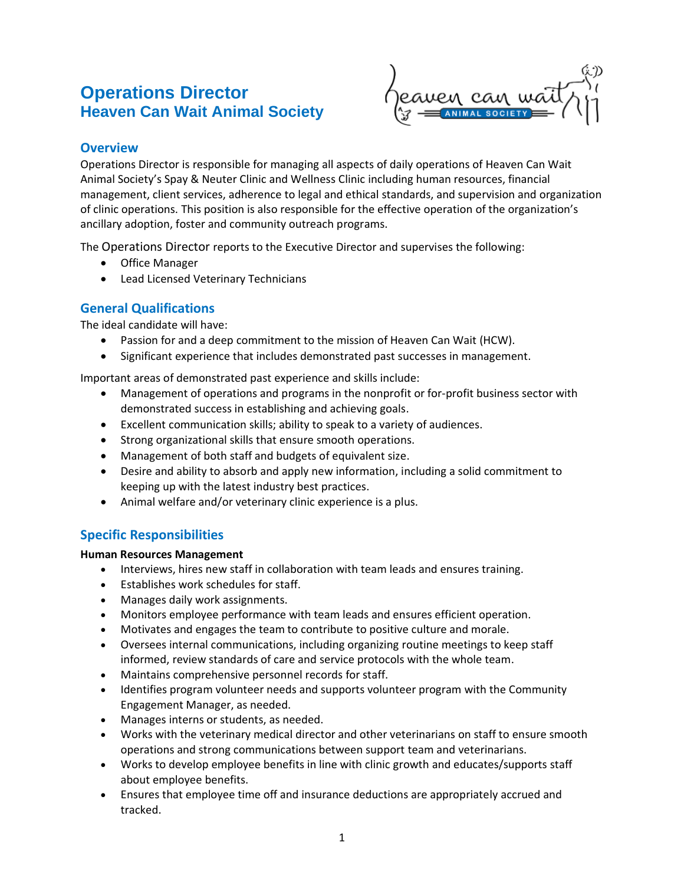# **Operations Director Heaven Can Wait Animal Society**



# **Overview**

Operations Director is responsible for managing all aspects of daily operations of Heaven Can Wait Animal Society's Spay & Neuter Clinic and Wellness Clinic including human resources, financial management, client services, adherence to legal and ethical standards, and supervision and organization of clinic operations. This position is also responsible for the effective operation of the organization's ancillary adoption, foster and community outreach programs.

The Operations Director reports to the Executive Director and supervises the following:

- Office Manager
- Lead Licensed Veterinary Technicians

# **General Qualifications**

The ideal candidate will have:

- Passion for and a deep commitment to the mission of Heaven Can Wait (HCW).
- Significant experience that includes demonstrated past successes in management.

Important areas of demonstrated past experience and skills include:

- Management of operations and programs in the nonprofit or for-profit business sector with demonstrated success in establishing and achieving goals.
- Excellent communication skills; ability to speak to a variety of audiences.
- Strong organizational skills that ensure smooth operations.
- Management of both staff and budgets of equivalent size.
- Desire and ability to absorb and apply new information, including a solid commitment to keeping up with the latest industry best practices.
- Animal welfare and/or veterinary clinic experience is a plus.

# **Specific Responsibilities**

#### **Human Resources Management**

- Interviews, hires new staff in collaboration with team leads and ensures training.
- Establishes work schedules for staff.
- Manages daily work assignments.
- Monitors employee performance with team leads and ensures efficient operation.
- Motivates and engages the team to contribute to positive culture and morale.
- Oversees internal communications, including organizing routine meetings to keep staff informed, review standards of care and service protocols with the whole team.
- Maintains comprehensive personnel records for staff.
- Identifies program volunteer needs and supports volunteer program with the Community Engagement Manager, as needed.
- Manages interns or students, as needed.
- Works with the veterinary medical director and other veterinarians on staff to ensure smooth operations and strong communications between support team and veterinarians.
- Works to develop employee benefits in line with clinic growth and educates/supports staff about employee benefits.
- Ensures that employee time off and insurance deductions are appropriately accrued and tracked.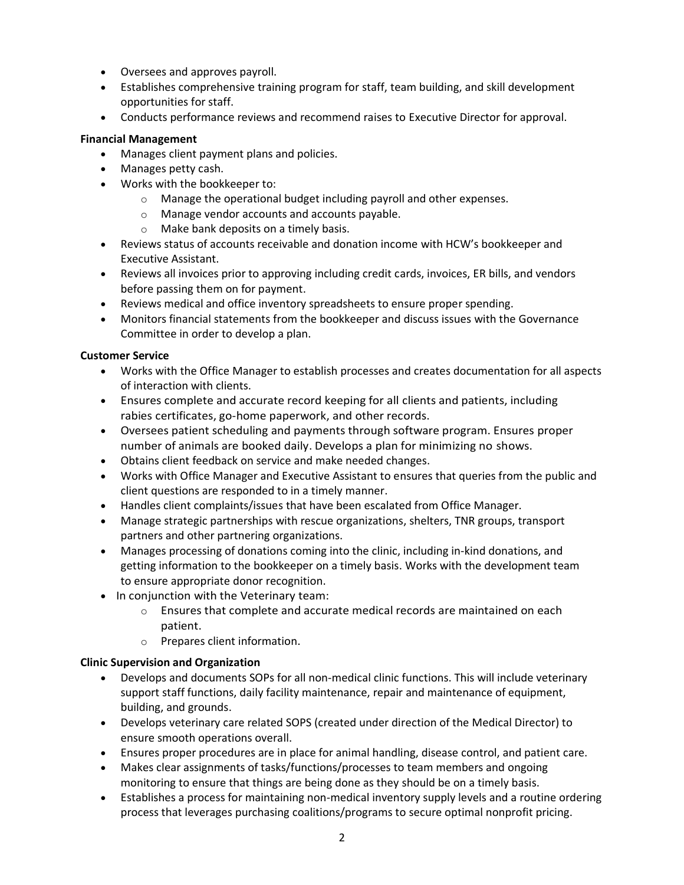- Oversees and approves payroll.
- Establishes comprehensive training program for staff, team building, and skill development opportunities for staff.
- Conducts performance reviews and recommend raises to Executive Director for approval.

#### **Financial Management**

- Manages client payment plans and policies.
- Manages petty cash.
- Works with the bookkeeper to:
	- o Manage the operational budget including payroll and other expenses.
	- o Manage vendor accounts and accounts payable.
	- o Make bank deposits on a timely basis.
- Reviews status of accounts receivable and donation income with HCW's bookkeeper and Executive Assistant.
- Reviews all invoices prior to approving including credit cards, invoices, ER bills, and vendors before passing them on for payment.
- Reviews medical and office inventory spreadsheets to ensure proper spending.
- Monitors financial statements from the bookkeeper and discuss issues with the Governance Committee in order to develop a plan.

#### **Customer Service**

- Works with the Office Manager to establish processes and creates documentation for all aspects of interaction with clients.
- Ensures complete and accurate record keeping for all clients and patients, including rabies certificates, go-home paperwork, and other records.
- Oversees patient scheduling and payments through software program. Ensures proper number of animals are booked daily. Develops a plan for minimizing no shows.
- Obtains client feedback on service and make needed changes.
- Works with Office Manager and Executive Assistant to ensures that queries from the public and client questions are responded to in a timely manner.
- Handles client complaints/issues that have been escalated from Office Manager.
- Manage strategic partnerships with rescue organizations, shelters, TNR groups, transport partners and other partnering organizations.
- Manages processing of donations coming into the clinic, including in-kind donations, and getting information to the bookkeeper on a timely basis. Works with the development team to ensure appropriate donor recognition.
- In conjunction with the Veterinary team:
	- $\circ$  Ensures that complete and accurate medical records are maintained on each patient.
	- o Prepares client information.

#### **Clinic Supervision and Organization**

- Develops and documents SOPs for all non-medical clinic functions. This will include veterinary support staff functions, daily facility maintenance, repair and maintenance of equipment, building, and grounds.
- Develops veterinary care related SOPS (created under direction of the Medical Director) to ensure smooth operations overall.
- Ensures proper procedures are in place for animal handling, disease control, and patient care.
- Makes clear assignments of tasks/functions/processes to team members and ongoing monitoring to ensure that things are being done as they should be on a timely basis.
- Establishes a process for maintaining non-medical inventory supply levels and a routine ordering process that leverages purchasing coalitions/programs to secure optimal nonprofit pricing.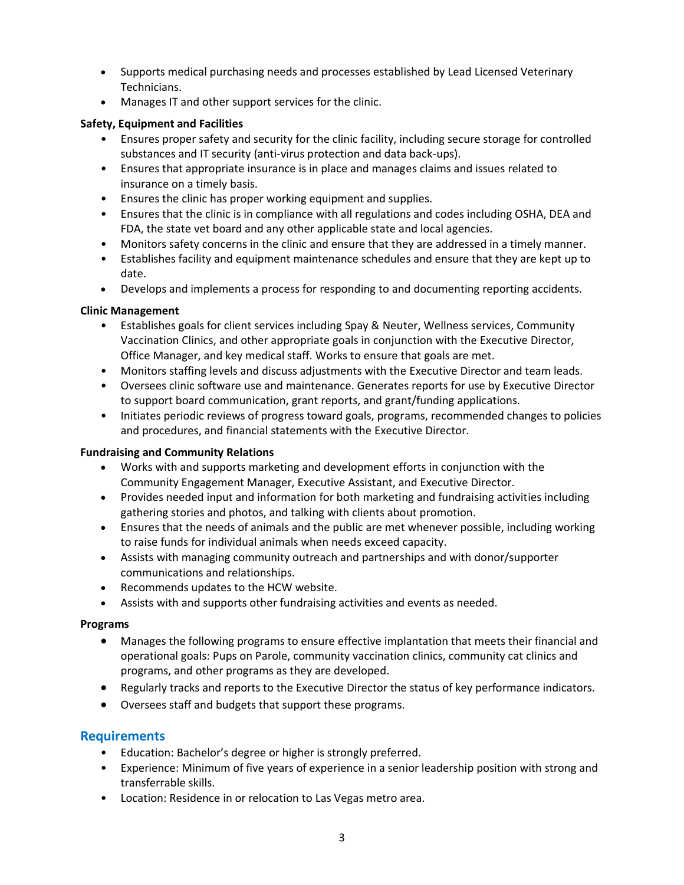- Supports medical purchasing needs and processes established by Lead Licensed Veterinary Technicians.
- Manages IT and other support services for the clinic.

# **Safety, Equipment and Facilities**

- Ensures proper safety and security for the clinic facility, including secure storage for controlled substances and IT security (anti-virus protection and data back-ups).
- Ensures that appropriate insurance is in place and manages claims and issues related to insurance on a timely basis.
- Ensures the clinic has proper working equipment and supplies.
- Ensures that the clinic is in compliance with all regulations and codes including OSHA, DEA and FDA, the state vet board and any other applicable state and local agencies.
- Monitors safety concerns in the clinic and ensure that they are addressed in a timely manner.
- Establishes facility and equipment maintenance schedules and ensure that they are kept up to date.
- Develops and implements a process for responding to and documenting reporting accidents.

## **Clinic Management**

- Establishes goals for client services including Spay & Neuter, Wellness services, Community Vaccination Clinics, and other appropriate goals in conjunction with the Executive Director, Office Manager, and key medical staff. Works to ensure that goals are met.
- Monitors staffing levels and discuss adjustments with the Executive Director and team leads.
- Oversees clinic software use and maintenance. Generates reports for use by Executive Director to support board communication, grant reports, and grant/funding applications.
- Initiates periodic reviews of progress toward goals, programs, recommended changes to policies and procedures, and financial statements with the Executive Director.

## **Fundraising and Community Relations**

- Works with and supports marketing and development efforts in conjunction with the Community Engagement Manager, Executive Assistant, and Executive Director.
- Provides needed input and information for both marketing and fundraising activities including gathering stories and photos, and talking with clients about promotion.
- Ensures that the needs of animals and the public are met whenever possible, including working to raise funds for individual animals when needs exceed capacity.
- Assists with managing community outreach and partnerships and with donor/supporter communications and relationships.
- Recommends updates to the HCW website.
- Assists with and supports other fundraising activities and events as needed.

## **Programs**

- Manages the following programs to ensure effective implantation that meets their financial and operational goals: Pups on Parole, community vaccination clinics, community cat clinics and programs, and other programs as they are developed.
- Regularly tracks and reports to the Executive Director the status of key performance indicators.
- Oversees staff and budgets that support these programs.

# **Requirements**

- Education: Bachelor's degree or higher is strongly preferred.
- Experience: Minimum of five years of experience in a senior leadership position with strong and transferrable skills.
- Location: Residence in or relocation to Las Vegas metro area.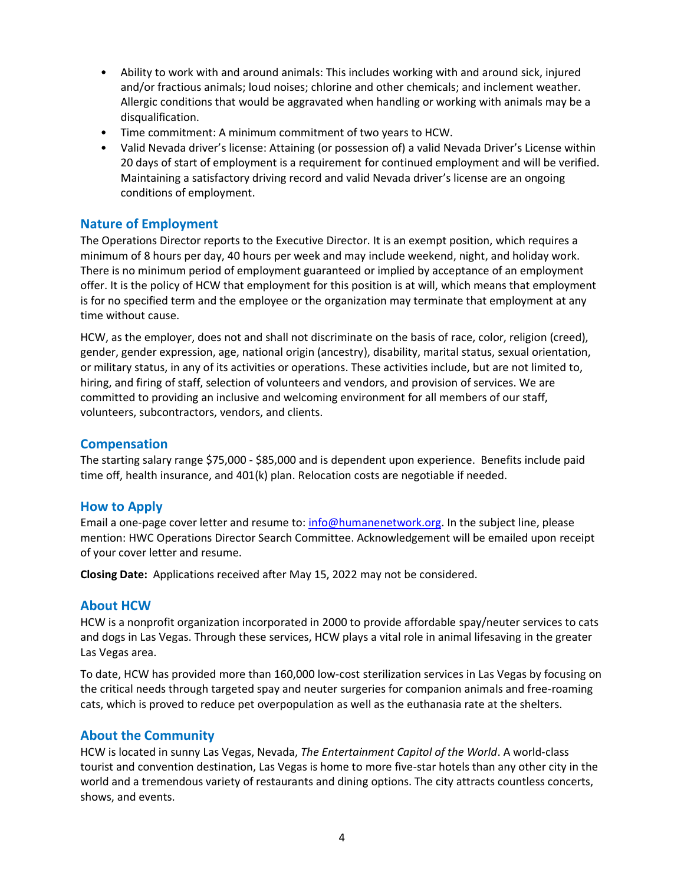- Ability to work with and around animals: This includes working with and around sick, injured and/or fractious animals; loud noises; chlorine and other chemicals; and inclement weather. Allergic conditions that would be aggravated when handling or working with animals may be a disqualification.
- Time commitment: A minimum commitment of two years to HCW.
- Valid Nevada driver's license: Attaining (or possession of) a valid Nevada Driver's License within 20 days of start of employment is a requirement for continued employment and will be verified. Maintaining a satisfactory driving record and valid Nevada driver's license are an ongoing conditions of employment.

# **Nature of Employment**

The Operations Director reports to the Executive Director. It is an exempt position, which requires a minimum of 8 hours per day, 40 hours per week and may include weekend, night, and holiday work. There is no minimum period of employment guaranteed or implied by acceptance of an employment offer. It is the policy of HCW that employment for this position is at will, which means that employment is for no specified term and the employee or the organization may terminate that employment at any time without cause.

HCW, as the employer, does not and shall not discriminate on the basis of race, color, religion (creed), gender, gender expression, age, national origin (ancestry), disability, marital status, sexual orientation, or military status, in any of its activities or operations. These activities include, but are not limited to, hiring, and firing of staff, selection of volunteers and vendors, and provision of services. We are committed to providing an inclusive and welcoming environment for all members of our staff, volunteers, subcontractors, vendors, and clients.

## **Compensation**

The starting salary range \$75,000 - \$85,000 and is dependent upon experience. Benefits include paid time off, health insurance, and 401(k) plan. Relocation costs are negotiable if needed.

## **How to Apply**

Email a one-page cover letter and resume to: [info@humanenetwork.org.](mailto:info@humanenetwork.org) In the subject line, please mention: HWC Operations Director Search Committee. Acknowledgement will be emailed upon receipt of your cover letter and resume.

**Closing Date:** Applications received after May 15, 2022 may not be considered.

## **About HCW**

HCW is a nonprofit organization incorporated in 2000 to provide affordable spay/neuter services to cats and dogs in Las Vegas. Through these services, HCW plays a vital role in animal lifesaving in the greater Las Vegas area.

To date, HCW has provided more than 160,000 low-cost sterilization services in Las Vegas by focusing on the critical needs through targeted spay and neuter surgeries for companion animals and free-roaming cats, which is proved to reduce pet overpopulation as well as the euthanasia rate at the shelters.

## **About the Community**

HCW is located in sunny Las Vegas, Nevada, *The Entertainment Capitol of the World*. A world-class tourist and convention destination, Las Vegas is home to more five-star hotels than any other city in the world and a tremendous variety of restaurants and dining options. The city attracts countless concerts, shows, and events.